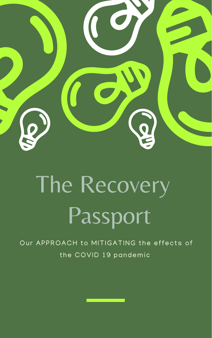



# The Recovery Passport

### Our APPROACH to MITIGATING the effects of the COVID 19 pandemic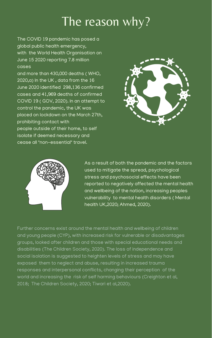As a result of both the pandemic and the factors used to mitigate the spread, psychological stress and psychosocial effects have been

reported to negatively affected the mental health and wellbeing of the nation, increasing peoples vulnerability to mental health disorders ( Mental health UK,2020; Ahmed, 2020).

The COVID 19 pandemic has posed a global public health emergency, with the World Health Organisation on June 15 2020 reporting 7.8 million cases

and more than 430,000 deaths ( WHO, 2020,a) In the UK , data from the 16 June 2020 identified 298,136 confirmed cases and 41,969 deaths of confirmed COVID 19 ( GOV, 2020). In an attempt to control the pandemic, the UK was placed on lockdown on the March 27th, prohibiting contact with people outside of their home, to self isolate if deemed necessary and cease all "non-essential" travel.





## The reason why?

Further concerns exist around the mental health and wellbeing of children and young people (CYP), with increased risk for vulnerable or disadvantages groups, looked after children and those with special educational needs and disabilities (The Children Society, 2020). The loss of independence and social isolation is suggested to heighten levels of stress and may have exposed them to neglect and abuse, resulting in increased trauma responses and interpersonal conflicts, changing their perception of the world and increasing the risk of self harming behaviours (Creighton et al, 2018; The Children Society, 2020; Tiwari et al,2020).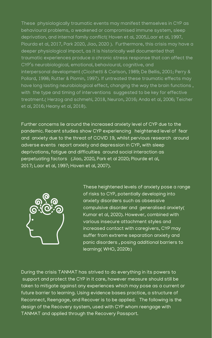Further concerns lie around the increased anxiety level of CYP due to the pandemic. Recent studies show CYP experiencing heightened level of fear and anxiety due to the threat of COVID 19, whilst pervious research around adverse events report anxiety and depression in CYP, with sleep deprivations, fatigue and difficulties around social interaction as perpetuating factors (Jiao, 2020, Park et al 2020; Plourde et al, 2017; Laor et al, 1997; Hoven et al, 2007).



During the crisis TANMAT has strived to do everything in its powers to support and protect the CYP in it care, however measure should still be taken to mitigate against any experiences which may pose as a current or future barrier to learning. Using evidence bases practice, a structure of Reconnect, Reengage, and Recover is to be applied. The following is the design of the Recovery system, used with CYP whom reengage with TANMAT and applied through the Recovery Passport.

These heightened levels of anxiety pose a range of risks to CYP, potentially developing into anxiety disorders such as obsessive compulsive disorder and generalised anxiety( Kumar et al, 2020). However, combined with various insecure attachment styles and increased contact with caregivers, CYP may suffer from extreme separation anxiety and panic disorders , posing additional barriers to learning( WHO, 2020b)

These physiologically traumatic events may manifest themselves in CYP as behavioural problems, a weakened or compromised immune system, sleep deprivation, and internal family conflict( Hoven et al, 2005,Laor et al, 1997, Plourda et al, 2017, Park 2020, Jiao, 2020 ). Furthermore, this crisis may have a deeper physiological impact, as it is historically well documented that traumatic experiences produce a chronic stress response that can affect the CYP' s neurobiological, emotional, behavioural, cognitive, and interpersonal development (Cicchetti & Carlson, 1989; De Bellis, 2001; Perry & Pollard, 1998; Rutter & Plomin, 1997). If untreated these traumatic effects may have long lasting neurobiological effect, changing the way the brain functions , with the type and timing of interventions suggested to be key for effective treatment.( Herzog and schmehl, 2018, Neuron, 2016; Anda et al, 2006; Teicher et al, 2016; Heany et al, 2018).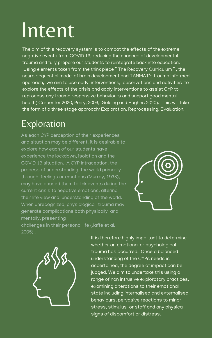The aim of this recovery system is to combat the effects of the extreme negative events from COVID 19, reducing the chances of developmental trauma and fully prepare our students to reintegrate back into education. Using elements taken from the think piece " The Recovery Curriculum " , the neuro sequential model of brain development and TANMAT' s trauma informed approach, we aim to use early interventions, observations and activities to explore the effects of the crisis and apply interventions to assist CYP to reprocess any trauma responsive behaviours and support good mental health( Carpenter 2020, Perry, 2009, Golding and Hughes 2020). This will take the form of a three stage approach: Exploration, Reprocessing, Evaluation.

> It is therefore highly important to determine whether an emotional or psychological trauma has occurred. Once a balanced understanding of the CYPs needs is ascertained, the degree of impact can be judged. We aim to undertake this using a range of non intrusive exploratory practices, examining alterations to their emotional state including internalised and externalised behaviours, pervasive reactions to minor stress, stimulus or staff and any physical signs of discomfort or distress.

As each CYP perception of their experiences and situation may be different, it is desirable to explore how each of our students have experience the lockdown, isolation and the COVID 19 situation. A CYP intraception, the process of understanding the world primarily through feelings or emotions (Murray, 1938), may have caused them to link events during the current crisis to negative emotions, altering their life view and understanding of the world. When unrecognized, physiological trauma may generate complications both physically and mentally, presenting challenges in their personal life (Jaffe et al, 2005) .





# Intent

#### Exploration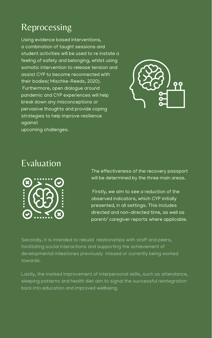Using evidence based interventions, a combination of taught sessions and student activities will be used to re instate a feeling of safety and belonging, whilst using somatic intervention to release tension and assist CYP to become reconnected with their bodies( Mischke-Reeds, 2020). Furthermore, open dialogue around pandemic and CYP experiences will help break down any misconceptions or pervasive thoughts and provide coping strategies to help improve resilience against upcoming challenges.

> The effectiveness of the recovery passport will be determined by the three main areas.



Firstly, we aim to see a reduction of the observed indicators, which CYP initially presented, in all settings. This includes directed and non-directed time, as well as parent/ caregiver reports where applicable.

### Reprocessing





Secondly, it is intended to rebuild relationships with staff and peers, facilitating social interactions and supporting the achievement of developmental milestones previously missed or currently being worked towards.

Lastly, the marked improvement of interpersonal skills, such as attendance, sleeping patterns and health diet aim to signal the successful reintegration back into education and improved wellbeing.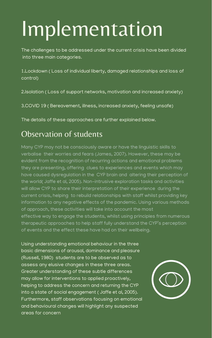# Implementation

The challenges to be addressed under the current crisis have been divided into three main categories.

1.Lockdown ( Loss of individual liberty, damaged relationships and loss of control)

2.Isolation ( Loss of support networks, motivation and increased anxiety)

3.COVID 19 ( Bereavement, illness, increased anxiety, feeling unsafe)

The details of these approaches are further explained below.

Many CYP may not be consciously aware or have the linguistic skills to verbalise their worries and fears (James, 2007). However, these may be evident from the recognition of recurring actions and emotional problems they are presenting, offering clues to experiences and events which may have caused dysregulation in the CYP brain and altering their perception of the world( Jaffe et al, 2005). Non-intrusive exploration tasks and activities will allow CYP to share their interpretation of their experience during the current crisis, helping to rebuild relationships with staff whilst providing key information to any negative effects of the pandemic. Using various methods of approach, these activities will take into account the most effective way to engage the students, whilst using principles from numerous therapeutic approaches to help staff fully understand the CYP' s perception of events and the effect these have had on their wellbeing.

#### Observation of students

Using understanding emotional behaviour in the three basic dimensions of arousal, dominance and pleasure (Russell, 1980) students are to be observed as to assess any elusive changes in these three areas. Greater understanding of these subtle differences may allow for interventions to applied proactively, helping to address the concern and returning the CYP into a state of social engagement ( Jaffe et al, 2005). Furthermore, staff observations focusing on emotional and behavioural changes will highlight any suspected areas for concern

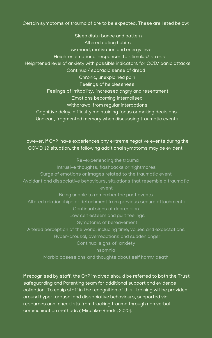#### Certain symptoms of trauma of are to be expected. These are listed below:

Sleep disturbance and pattern Altered eating habits Low mood, motivation and energy level Heighten emotional responses to stimulus/ stress Heightened level of anxiety with possible indicators for OCD/ panic attacks Continual/ sporadic sense of dread Chronic, unexplained pain Feelings of helplessness Feelings of Irritability, increased angry and resentment Emotions becoming internalised Withdrawal from regular interactions Cognitive delay, difficulty maintaining focus or making decisions Unclear , fragmented memory when discussing traumatic events

However, if CYP have experiences any extreme negative events during the COVID 19 situation, the following additional symptoms may be evident.

Re-experiencing the trauma Intrusive thoughts, flashbacks or nightmares Surge of emotions or images related to the traumatic event Avoidant and dissociative behaviours, situations that resemble a traumatic event

Being unable to remember the past events Altered relationships or detachment from previous secure attachments Continual signs of depression Low self esteem and guilt feelings Symptoms of bereavement Altered perception of the world, including time, values and expectations Hyper-arousal, overreactions and sudden anger Continual signs of anxiety Insomnia

Morbid obsessions and thoughts about self harm/ death

If recognised by staff, the CYP involved should be referred to both the Trust safeguarding and Parenting team for additional support and evidence collection. To equip staff in the recognition of this, training will be provided around hyper-arousal and dissociative behaviours, supported via resources and checklists from tracking trauma through non verbal communication methods ( Mischke-Reeds, 2020).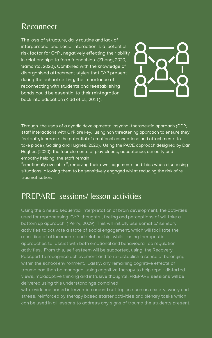#### Reconnect

The loss of structure, daily routine and lack of interpersonal and social interaction is a potential risk factor for CYP , negatively effecting their ability in relationships to form friendships (Zhang, 2020, Samanta, 2020). Combined with the knowledge of disorganised attachment styles that CYP present during the school setting, the importance of reconnecting with students and reestablishing bonds could be essential to their reintegration back into education (Kidd et al., 2011).



"emotionally available ", removing their own judgements and bias when discussing situations allowing them to be sensitively engaged whilst reducing the risk of re traumatisation.

#### Through the uses of a dyadic developmental psycho-therapeutic approach (DDP), staff interactions with CYP are key, using non threatening approach to ensure they feel safe, increase the potential of emotional connections and attachments to take place ( Golding and Hughes, 2020). Using the PACE approach designed by Dan Hughes (2020), the four elements of playfulness, acceptance, curiosity and empathy helping the staff remain

with evidence based intervention around set topics such as anxiety, worry and stress, reinforced by therapy based starter activities and plenary tasks which can be used in all lessons to address any signs of trauma the students present.

#### PREPARE sessions/ lesson activities

Using the a neuro sequential interpretation of brain development, the activities used for reprocessing CYP thoughts , feeling and perceptions of will take a bottom up approach. ( Perry, 2009) This will initially use somatic/ sensory activities to activate a state of social engagement, which will facilitate the rebuilding of attachments and relationship, whilst using therapeutic approaches to assist with both emotional and behavioural co regulation activities. From this, self esteem will be supported, using the Recovery Passport to recognise achievement and to re-establish a sense of belonging within the school environment. Lastly, any remaining cognitive effects of trauma can then be managed, using cognitive therapy to help repair distorted views, maladaptive thinking and intrusive thoughts. PREPARE sessions will be delivered using this understandings combined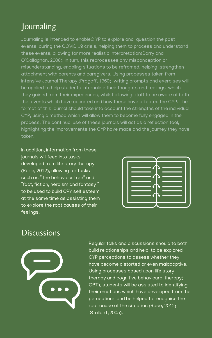#### **Journaling**

Journaling is intended to enableC YP to explore and question the past events during the COVID 19 crisis, helping them to process and understand these events, allowing for more realistic interpretation(Barry and O'Callaghan, 2008). In turn, this reprocesses any misconception or misunderstanding, enabling situations to be reframed, helping strengthen attachment with parents and caregivers. Using processes taken from Intensive Journal Therapy (Progoff, 1960) writing prompts and exercises will be applied to help students internalise their thoughts and feelings which they gained from their experiences, whilst allowing staff to be aware of both the events which have occurred and how these have affected the CYP. The format of this journal should take into account the strengths of the individual CYP, using a method which will allow them to become fully engaged in the process. The continual use of these journals will act as a reflection tool, highlighting the improvements the CYP have made and the journey they have taken.

In addition, information from these journals will feed into tasks developed from life story therapy (Rose, 2012), allowing for tasks such as " the behaviour tree " and "fact, fiction, heroism and fantasy " to be used to build CPY self esteem at the same time as assisting them to explore the root causes of their feelings.



#### **Discussions**



Regular talks and discussions should to both build relationships and help to be explored CYP perceptions to assess whether they have become distorted or even maladaptive. Using processes based upon life story therapy and cognitive behavioural therapy( CBT), students will be assisted to identifying their emotions which have developed from the perceptions and be helped to recognise the root cause of the situation (Rose, 2012; Stallard ,2005).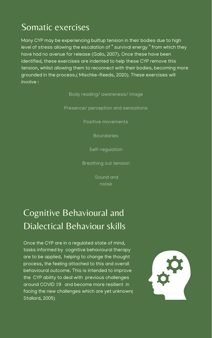Many CYP may be experiencing builtup tension in their bodies due to high level of stress allowing the escalation of " survival energy " from which they have had no avenue for release (Gallo, 2007). Once these have been identified, these exercises are indented to help these CYP remove this tension, whilst allowing them to reconnect with their bodies, becoming more grounded in the process.( Mischke-Reeds, 2020). These exercises will involve :

Body reading/ awareness/ image

Presence/ perception and sensations

Positive movements

Boundaries

Self-regulation

Breathing out tension

Sound and

Once the CYP are in a regulated state of mind, tasks informed by cognitive behavioural therapy are to be applied, helping to change the thought process, the feeling attached to this and overall behavioural outcome. This is intended to improve the CYP ability to deal with previous challenges around COVID 19 and become more resilient in facing the new challenges which are yet unknown( Stallard, 2005)



#### Somatic exercises

### Cognitive Behavioural and Dialectical Behaviour skills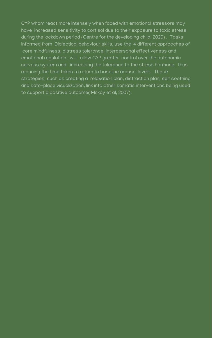CYP whom react more intensely when faced with emotional stressors may have increased sensitivity to cortisol due to their exposure to toxic stress during the lockdown period (Centre for the developing child, 2020) . Tasks informed from Dialectical behaviour skills, use the 4 different approaches of core mindfulness, distress tolerance, interpersonal effectiveness and emotional regulation , will allow CYP greater control over the autonomic nervous system and increasing the tolerance to the stress hormone, thus reducing the time taken to return to baseline arousal levels. These strategies, such as creating a relaxation plan, distraction plan, self soothing and safe-place visualization, link into other somatic interventions being used to support a positive outcome( Mckay et al, 2007).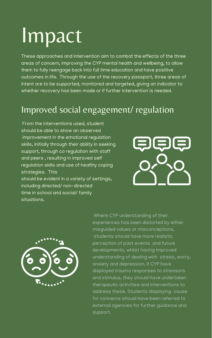These approaches and intervention aim to combat the effects of the three areas of concern, improving the CYP mental health and wellbeing, to allow them to fully reengage back into full time education and have positive outcomes in life. Through the use of the recovery passport, three areas of intent are to be supported, monitored and targeted, giving an indicator to whether recovery has been made or if further intervention is needed.

From the interventions used, student should be able to show an observed improvement in the emotional regulation skills, initially through their ability in seeking support, through co regulation with staff and peers , resulting in improved self regulation skills and use of healthy coping strategies. This should be evident in a variety of settings, including directed/ non-directed time in school and social/ family situations.





Where CYP understanding of their experiences has been distorted by either misguided values or misconceptions, students should have more realistic perception of past events and future developments, whilst having improved understanding of dealing with stress, worry, anxiety and depression. If CYP have displayed trauma responses to stressors and stimulus, they should have undertaken therapeutic activities and interventions to address these. Students displaying cause for concerns should have been referred to external agencies for further guidance and support.

# Impact

### Improved social engagement/ regulation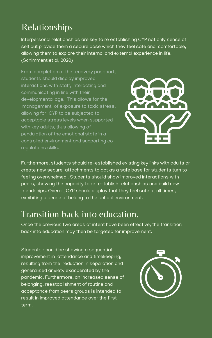From completion of the recovery passport, students should display improved interactions with staff, interacting and communicating in line with their developmental age. This allows for the management of exposure to toxic stress, allowing for CYP to be subjected to acceptable stress levels when supported with key adults, thus allowing of pendulation of the emotional state in a controlled environment and supporting co regulations skills.



Furthermore, students should re-established existing key links with adults or create new secure attachments to act as a safe base for students turn to feeling overwhelmed . Students should show improved interactions with

peers, showing the capacity to re-establish relationships and build new friendships. Overall, CYP should display that they feel safe at all times, exhibiting a sense of belong to the school environment.

#### Relationships

Interpersonal relationships are key to re establishing CYP not only sense of self but provide them a secure base which they feel safe and comfortable, allowing them to explore their internal and external experience in life. (Schimmentiet al, 2020)

#### Transition back into education.

Once the previous two areas of intent have been effective, the transition back into education may then be targeted for improvement.

Students should be showing a sequential improvement in attendance and timekeeping, resulting from the reduction in separation and generalised anxiety exasperated by the pandemic. Furthermore, an increased sense of belonging, reestablishment of routine and acceptance from peers groups is intended to result in improved attendance over the first term.

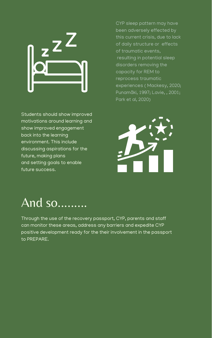CYP sleep pattern may have been adversely effected by this current crisis, due to lack of daily structure or effects of traumatic events, resulting in potential sleep disorders removing the capacity for REM to reprocess traumatic experiences ( Mackesy, 2020; Punamäki, 1997; Lavie, , 2001; Park et al, 2020)



### And so.........



Students should show improved motivations around learning and show improved engagement back into the learning environment. This include discussing aspirations for the future, making plans and setting goals to enable future success.

Through the use of the recovery passport, CYP, parents and staff can monitor these areas, address any barriers and expedite CYP positive development ready for the their involvement in the passport to PREPARE.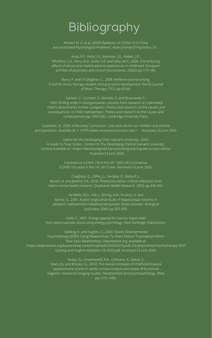## Bibliography

Ahmed, M. Z. et al. (2020) 'Epidemic of COVID-19 in China and associated Psychological Problems', Asian Journal of Psychiatry, 51.

Anda, R.F., Felitti, V.J., Bremner, J.D., Walker, J.D., Whitfield, C.H., Perry, B.D., Dube, S.R. and Giles, W.H., 2006. The enduring effects of abuse and related adverse experiences in childhood. European archives of psychiatry and clinical neuroscience, 256(3), pp.174-186.

Barry, P. and O'Callaghan, C., 2008. Reflexive journal writing: A tool for music therapy student clinical practice development. Nordic Journal of Music Therapy, 17(1), pp.55-66.

Carlson, V., Cicchetti, D., Barnett, D. and Braunwald, K., 1989. Finding order in disorganization: Lessons from research on maltreated infant's attachments to their caregivers: Theory and research on the causes and consequences. In Child maltreatment: Theory and research on the causes and consequences (pp. 494-528). Cambridge University Press.

Carpenter, B., 2020. A Recovery Curriculum: Loss and Life for our children and schools post pandemic. Available at :< HTTP://www.recoverycurriculum.com > : Accessed 23 June 2020.

Centre for the Developing Child. Harvard University., 2020. A Guide To Toxic Stress - Centre On The Developing Child At Harvard University. [online] Available at: <https://developingchild.harvard.edu/guide/a-guide-to-toxic-stress/ : Accessed 23 June 2020.

> Coronavirus (COVID-19) in the UK". GOV.UK Coronavirus (COVID-19) cases in the UK. UK Crown. Retrieved 16 June 2020.

Creighton, G., Oliffe, J.L., Ferlatte, O., Bottorff, J.,

Broom, A. and Jenkins, E.K., 2018. Photovoice ethics: Critical reflections from men's mental health research. Qualitative Health Research, 28(3), pp.446-455.

De Bellis, M.D., Hall, J., Boring, A.M., Frustaci, K. and Moritz, G., 2001. A pilot longitudinal study of hippocampal volumes in pediatric maltreatment-related posttraumatic stress disorder. Biological psychiatry, 50(4), pp.305-309.

Gallo, F., 2007. Energy tapping for trauma: Rapid relief from post-traumatic stress using energy psychology. New Harbinger Publications.

Golding, K. and Hughes, D., 2020. Dyadic Developmental Psychotherapy (DDP): Using Relationships To Heal Children Traumatised Within Their Early Relationships. Ddpnetwork.org. Available at: <https://ddpnetwork.org/backend/wp-content/uploads/2020/02/Dyadic-Developmental-Psychotherapy-DDP-Golding-and-Hughes-Adoption-UK-2020.pdf :Accessed 23 June 2020.

> Heany, S.J., Groenewold, N.A., Uhlmann, A., Dalvie, S., Stein, D.J. and Brooks, S.J., 2018. The neural correlates of childhood trauma questionnaire scores in adults: a meta-analysis and review of functional magnetic resonance imaging studies. Development and psychopathology, 30(4), pp.1475-1485.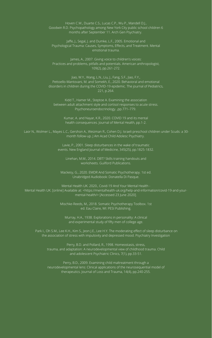Hoven C.W., Duarte C.S., Lucas C.P., Wu P., Mandell D.J., Goodwin R.D. Psychopathology among New York City public school children 6 months after September 11. Arch Gen Psychiatry.

Jaffe, J., Segal, J. and Dumke, L.F., 2005. Emotional and Psychological Trauma: Causes, Symptoms, Effects, and Treatment. Mental emotional trauma.

James, A., 2007. Giving voice to children's voices: Practices and problems, pitfalls and potentials. American anthropologist, 109(2), pp.261-272.

Jiao, W.Y., Wang, L.N., Liu, J., Fang, S.F., Jiao, F.Y., Pettoello-Mantovani, M. and Somekh, E., 2020. Behavioral and emotional disorders in children during the COVID-19 epidemic. The journal of Pediatrics, 221, p.264.

Kidd T., Hamer M., Steptoe A. Examining the association between adult attachment style and cortisol responses to acute stress. Psychoneuroendocrinology. ,pp.771–779.

Kumar, A. and Nayar, K.R., 2020. COVID 19 and its mental health consequences. Journal of Mental Health, pp.1-2.

Laor N., Wolmer L., Mayes L.C., Gershon A., Weizman R., Cohen D.J. Israeli preschool children under Scuds: a 30 month follow-up. J Am Acad Child Adolesc Psychiatry.

> Lavie, P., 2001. Sleep disturbances in the wake of traumatic events. New England Journal of Medicine, 345(25), pp.1825-1832.

Linehan, M.M., 2014. DBT? Skills training handouts and worksheets. Guilford Publications.

Mackesy, G., 2020. EMDR And Somatic Psychotherapy. 1st ed. Unabridged Audiobook: Donatella Di Pasque.

Mental Health UK. 2020., Covid-19 And Your Mental Health -

Mental Health UK. [online] Available at: <https://mentalhealth-uk.org/help-and-information/covid-19-and-yourmental-health/> [Accessed 23 June 2020].

> Mischke-Reeds, M., 2018. Somatic Psychotherapy Toolbox. 1st ed. Eau Claire, WI: PESI Publishing.

Murray, H.A., 1938. Explorations in personality: A clinical and experimental study of fifty men of college age.

Park I., Oh S.M., Lee K.H., Kim S., Jeon J.E., Lee H.Y. The moderating effect of sleep disturbance on the association of stress with impulsivity and depressed mood. Psychiatry Investigation

Perry, B.D. and Pollard, R., 1998. Homeostasis, stress, trauma, and adaptation: A neurodevelopmental view of childhood trauma. Child and adolescent Psychiatric Clinics, 7(1), pp.33-51.

Perry, B.D., 2009. Examining child maltreatment through a neurodevelopmental lens: Clinical applications of the neurosequential model of therapeutics. Journal of Loss and Trauma, 14(4), pp.240-255.